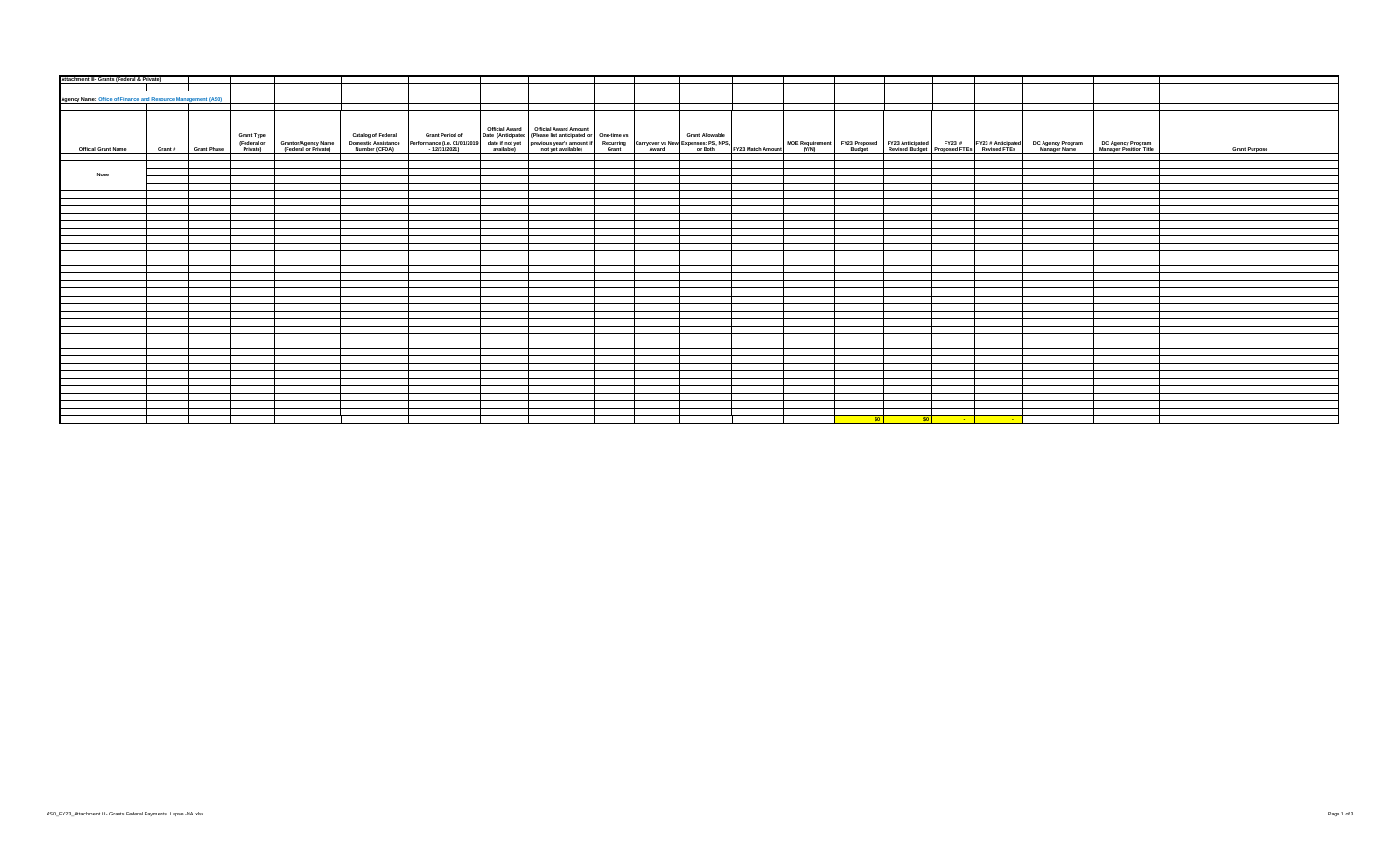| Attachment III- Grants (Federal & Private)                   |                     |                   |                                                                  |                                                                                                                                                                                                                                  |  |  |                           |  |                                                                                                                        |  |                                                                                                                                                                   |                                             |                      |
|--------------------------------------------------------------|---------------------|-------------------|------------------------------------------------------------------|----------------------------------------------------------------------------------------------------------------------------------------------------------------------------------------------------------------------------------|--|--|---------------------------|--|------------------------------------------------------------------------------------------------------------------------|--|-------------------------------------------------------------------------------------------------------------------------------------------------------------------|---------------------------------------------|----------------------|
|                                                              |                     |                   |                                                                  |                                                                                                                                                                                                                                  |  |  |                           |  |                                                                                                                        |  |                                                                                                                                                                   |                                             |                      |
|                                                              |                     |                   |                                                                  |                                                                                                                                                                                                                                  |  |  |                           |  |                                                                                                                        |  |                                                                                                                                                                   |                                             |                      |
| Agency Name: Office of Finance and Resource Management (AS0) |                     |                   |                                                                  |                                                                                                                                                                                                                                  |  |  |                           |  |                                                                                                                        |  |                                                                                                                                                                   |                                             |                      |
|                                                              |                     |                   |                                                                  |                                                                                                                                                                                                                                  |  |  |                           |  |                                                                                                                        |  |                                                                                                                                                                   |                                             |                      |
|                                                              |                     |                   |                                                                  |                                                                                                                                                                                                                                  |  |  |                           |  |                                                                                                                        |  |                                                                                                                                                                   |                                             |                      |
|                                                              |                     |                   |                                                                  |                                                                                                                                                                                                                                  |  |  |                           |  |                                                                                                                        |  |                                                                                                                                                                   |                                             |                      |
|                                                              |                     | <b>Grant Type</b> |                                                                  | Commestic Assets Center Performance (i.e. 01/01/2019) date in the commest of the Center of Crant Allowable<br>Domestic Assistance Performance (i.e. 01/01/2019) date if not yet previous year's amount if Recurring Carryover vs |  |  |                           |  |                                                                                                                        |  |                                                                                                                                                                   |                                             |                      |
|                                                              |                     |                   | (Federal or Grantor/Agency Name<br>Private) (Federal or Private) |                                                                                                                                                                                                                                  |  |  |                           |  |                                                                                                                        |  | MOE Requirement FY23 Proposed FY23 Anticipated FY23 # FY23 # Anticipated DC Agency Program<br>(Y/N) Budget Revised Budget Proposed FTEs Revised FTEs Manager Name | DC Agency Program<br>Manager Position Title |                      |
| <b>Official Grant Name</b>                                   | Grant # Grant Phase |                   |                                                                  |                                                                                                                                                                                                                                  |  |  | or Both FY23 Match Amount |  |                                                                                                                        |  |                                                                                                                                                                   |                                             | <b>Grant Purpose</b> |
|                                                              |                     |                   |                                                                  |                                                                                                                                                                                                                                  |  |  |                           |  |                                                                                                                        |  |                                                                                                                                                                   |                                             |                      |
|                                                              |                     |                   |                                                                  |                                                                                                                                                                                                                                  |  |  |                           |  |                                                                                                                        |  |                                                                                                                                                                   |                                             |                      |
| None                                                         |                     |                   |                                                                  |                                                                                                                                                                                                                                  |  |  |                           |  |                                                                                                                        |  |                                                                                                                                                                   |                                             |                      |
|                                                              |                     |                   |                                                                  |                                                                                                                                                                                                                                  |  |  |                           |  |                                                                                                                        |  |                                                                                                                                                                   |                                             |                      |
|                                                              |                     |                   |                                                                  |                                                                                                                                                                                                                                  |  |  |                           |  |                                                                                                                        |  |                                                                                                                                                                   |                                             |                      |
|                                                              |                     |                   |                                                                  |                                                                                                                                                                                                                                  |  |  |                           |  |                                                                                                                        |  |                                                                                                                                                                   |                                             |                      |
|                                                              |                     |                   |                                                                  |                                                                                                                                                                                                                                  |  |  |                           |  |                                                                                                                        |  |                                                                                                                                                                   |                                             |                      |
|                                                              |                     |                   |                                                                  |                                                                                                                                                                                                                                  |  |  |                           |  |                                                                                                                        |  |                                                                                                                                                                   |                                             |                      |
|                                                              |                     |                   |                                                                  |                                                                                                                                                                                                                                  |  |  |                           |  |                                                                                                                        |  |                                                                                                                                                                   |                                             |                      |
|                                                              |                     |                   |                                                                  |                                                                                                                                                                                                                                  |  |  |                           |  |                                                                                                                        |  |                                                                                                                                                                   |                                             |                      |
|                                                              |                     |                   |                                                                  |                                                                                                                                                                                                                                  |  |  |                           |  |                                                                                                                        |  |                                                                                                                                                                   |                                             |                      |
|                                                              |                     |                   |                                                                  |                                                                                                                                                                                                                                  |  |  |                           |  |                                                                                                                        |  |                                                                                                                                                                   |                                             |                      |
|                                                              |                     |                   |                                                                  |                                                                                                                                                                                                                                  |  |  |                           |  |                                                                                                                        |  |                                                                                                                                                                   |                                             |                      |
|                                                              |                     |                   |                                                                  |                                                                                                                                                                                                                                  |  |  |                           |  |                                                                                                                        |  |                                                                                                                                                                   |                                             |                      |
|                                                              |                     |                   |                                                                  |                                                                                                                                                                                                                                  |  |  |                           |  |                                                                                                                        |  |                                                                                                                                                                   |                                             |                      |
|                                                              |                     |                   |                                                                  |                                                                                                                                                                                                                                  |  |  |                           |  |                                                                                                                        |  |                                                                                                                                                                   |                                             |                      |
|                                                              |                     |                   |                                                                  |                                                                                                                                                                                                                                  |  |  |                           |  |                                                                                                                        |  |                                                                                                                                                                   |                                             |                      |
|                                                              |                     |                   |                                                                  |                                                                                                                                                                                                                                  |  |  |                           |  |                                                                                                                        |  |                                                                                                                                                                   |                                             |                      |
|                                                              |                     |                   |                                                                  |                                                                                                                                                                                                                                  |  |  |                           |  |                                                                                                                        |  |                                                                                                                                                                   |                                             |                      |
|                                                              |                     |                   |                                                                  |                                                                                                                                                                                                                                  |  |  |                           |  |                                                                                                                        |  |                                                                                                                                                                   |                                             |                      |
|                                                              |                     |                   |                                                                  |                                                                                                                                                                                                                                  |  |  |                           |  |                                                                                                                        |  |                                                                                                                                                                   |                                             |                      |
|                                                              |                     |                   |                                                                  |                                                                                                                                                                                                                                  |  |  |                           |  |                                                                                                                        |  |                                                                                                                                                                   |                                             |                      |
|                                                              |                     |                   |                                                                  |                                                                                                                                                                                                                                  |  |  |                           |  |                                                                                                                        |  |                                                                                                                                                                   |                                             |                      |
|                                                              |                     |                   |                                                                  |                                                                                                                                                                                                                                  |  |  |                           |  |                                                                                                                        |  |                                                                                                                                                                   |                                             |                      |
|                                                              |                     |                   |                                                                  |                                                                                                                                                                                                                                  |  |  |                           |  |                                                                                                                        |  |                                                                                                                                                                   |                                             |                      |
|                                                              |                     |                   |                                                                  |                                                                                                                                                                                                                                  |  |  |                           |  |                                                                                                                        |  |                                                                                                                                                                   |                                             |                      |
|                                                              |                     |                   |                                                                  |                                                                                                                                                                                                                                  |  |  |                           |  |                                                                                                                        |  |                                                                                                                                                                   |                                             |                      |
|                                                              |                     |                   |                                                                  |                                                                                                                                                                                                                                  |  |  |                           |  |                                                                                                                        |  |                                                                                                                                                                   |                                             |                      |
|                                                              |                     |                   |                                                                  |                                                                                                                                                                                                                                  |  |  |                           |  |                                                                                                                        |  |                                                                                                                                                                   |                                             |                      |
|                                                              |                     |                   |                                                                  |                                                                                                                                                                                                                                  |  |  |                           |  |                                                                                                                        |  |                                                                                                                                                                   |                                             |                      |
|                                                              |                     |                   |                                                                  |                                                                                                                                                                                                                                  |  |  |                           |  |                                                                                                                        |  |                                                                                                                                                                   |                                             |                      |
|                                                              |                     |                   |                                                                  |                                                                                                                                                                                                                                  |  |  |                           |  |                                                                                                                        |  |                                                                                                                                                                   |                                             |                      |
|                                                              |                     |                   |                                                                  |                                                                                                                                                                                                                                  |  |  |                           |  | <u>in the set of the set of the set of the set of the set of the set of the set of the set of the set of the set o</u> |  |                                                                                                                                                                   |                                             |                      |
|                                                              |                     |                   |                                                                  |                                                                                                                                                                                                                                  |  |  |                           |  |                                                                                                                        |  |                                                                                                                                                                   |                                             |                      |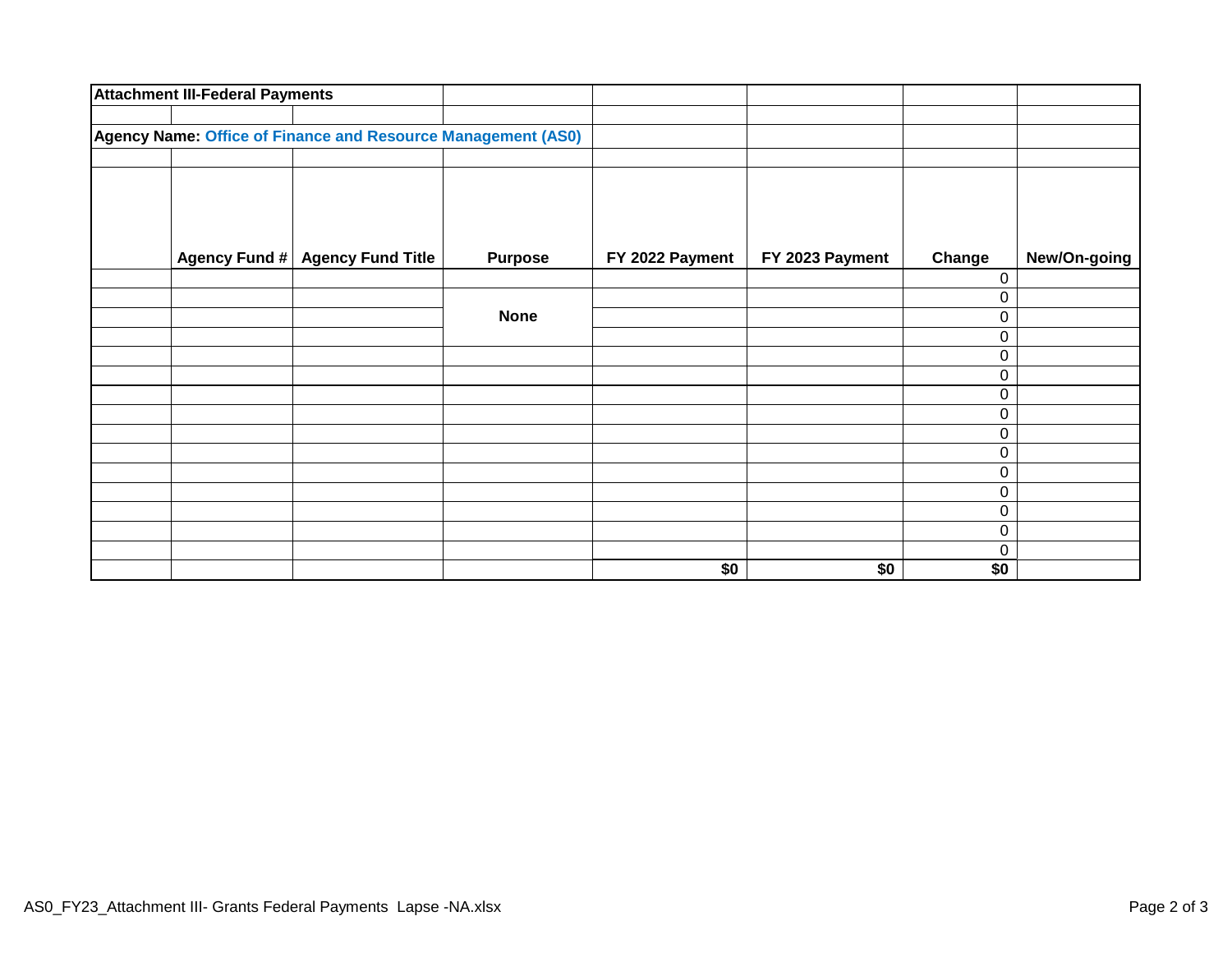|                                                              | <b>Attachment III-Federal Payments</b> |                                 |                |                 |                 |        |              |
|--------------------------------------------------------------|----------------------------------------|---------------------------------|----------------|-----------------|-----------------|--------|--------------|
|                                                              |                                        |                                 |                |                 |                 |        |              |
| Agency Name: Office of Finance and Resource Management (AS0) |                                        |                                 |                |                 |                 |        |              |
|                                                              |                                        |                                 |                |                 |                 |        |              |
|                                                              |                                        |                                 |                |                 |                 |        |              |
|                                                              |                                        |                                 |                |                 |                 |        |              |
|                                                              |                                        |                                 |                |                 |                 |        |              |
|                                                              |                                        | Agency Fund # Agency Fund Title | <b>Purpose</b> | FY 2022 Payment | FY 2023 Payment | Change | New/On-going |
|                                                              |                                        |                                 |                |                 |                 | 0      |              |
|                                                              |                                        |                                 |                |                 |                 | 0      |              |
|                                                              |                                        |                                 | <b>None</b>    |                 |                 | 0      |              |
|                                                              |                                        |                                 |                |                 |                 | 0      |              |
|                                                              |                                        |                                 |                |                 |                 | 0      |              |
|                                                              |                                        |                                 |                |                 |                 | 0      |              |
|                                                              |                                        |                                 |                |                 |                 | 0      |              |
|                                                              |                                        |                                 |                |                 |                 | 0      |              |
|                                                              |                                        |                                 |                |                 |                 | 0      |              |
|                                                              |                                        |                                 |                |                 |                 | 0      |              |
|                                                              |                                        |                                 |                |                 |                 | 0      |              |
|                                                              |                                        |                                 |                |                 |                 | 0      |              |
|                                                              |                                        |                                 |                |                 |                 | 0      |              |
|                                                              |                                        |                                 |                |                 |                 | 0      |              |
|                                                              |                                        |                                 |                |                 |                 | 0      |              |
|                                                              |                                        |                                 |                | \$0             | \$0             | \$0    |              |